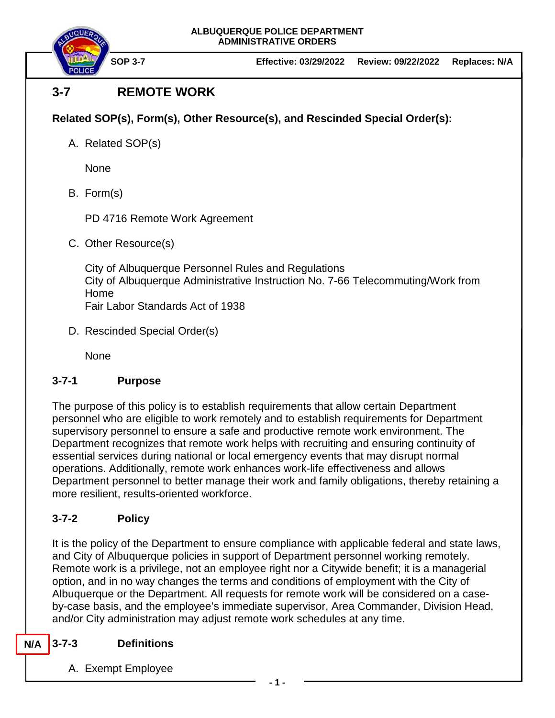

# **3-7 REMOTE WORK**

## **Related SOP(s), Form(s), Other Resource(s), and Rescinded Special Order(s):**

A. Related SOP(s)

None

B. Form(s)

PD 4716 Remote Work Agreement

C. Other Resource(s)

City of Albuquerque Personnel Rules and Regulations City of Albuquerque Administrative Instruction No. 7-66 Telecommuting/Work from Home Fair Labor Standards Act of 1938

D. Rescinded Special Order(s)

None

## **3-7-1 Purpose**

The purpose of this policy is to establish requirements that allow certain Department personnel who are eligible to work remotely and to establish requirements for Department supervisory personnel to ensure a safe and productive remote work environment. The Department recognizes that remote work helps with recruiting and ensuring continuity of essential services during national or local emergency events that may disrupt normal operations. Additionally, remote work enhances work-life effectiveness and allows Department personnel to better manage their work and family obligations, thereby retaining a more resilient, results-oriented workforce.

## **3-7-2 Policy**

It is the policy of the Department to ensure compliance with applicable federal and state laws, and City of Albuquerque policies in support of Department personnel working remotely. Remote work is a privilege, not an employee right nor a Citywide benefit; it is a managerial option, and in no way changes the terms and conditions of employment with the City of Albuquerque or the Department. All requests for remote work will be considered on a caseby-case basis, and the employee's immediate supervisor, Area Commander, Division Head, and/or City administration may adjust remote work schedules at any time.

#### **3-7-3 Definitions N/A**

A. Exempt Employee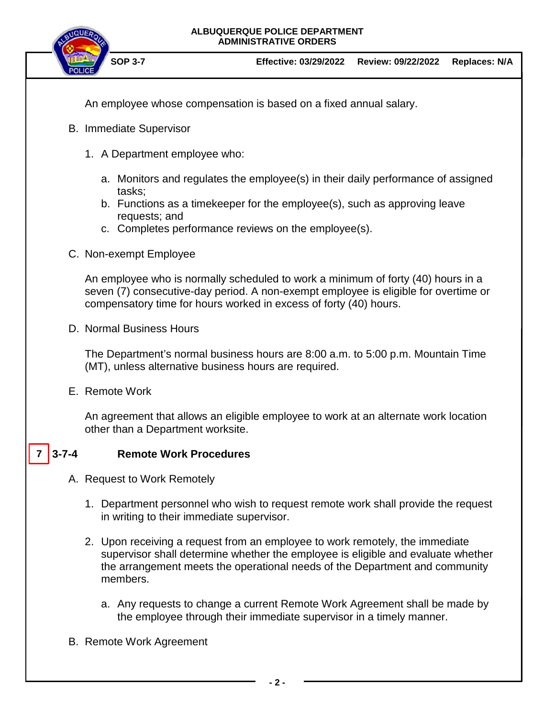

An employee whose compensation is based on a fixed annual salary.

- B. Immediate Supervisor
	- 1. A Department employee who:
		- a. Monitors and regulates the employee(s) in their daily performance of assigned tasks;
		- b. Functions as a timekeeper for the employee(s), such as approving leave requests; and
		- c. Completes performance reviews on the employee(s).
- C. Non-exempt Employee

An employee who is normally scheduled to work a minimum of forty (40) hours in a seven (7) consecutive-day period. A non-exempt employee is eligible for overtime or compensatory time for hours worked in excess of forty (40) hours.

D. Normal Business Hours

The Department's normal business hours are 8:00 a.m. to 5:00 p.m. Mountain Time (MT), unless alternative business hours are required.

E. Remote Work

An agreement that allows an eligible employee to work at an alternate work location other than a Department worksite.

#### **3-7-4 Remote Work Procedures**   $7 \mid 3 - 7 - 4$

- A. Request to Work Remotely
	- 1. Department personnel who wish to request remote work shall provide the request in writing to their immediate supervisor.
	- 2. Upon receiving a request from an employee to work remotely, the immediate supervisor shall determine whether the employee is eligible and evaluate whether the arrangement meets the operational needs of the Department and community members.
		- a. Any requests to change a current Remote Work Agreement shall be made by the employee through their immediate supervisor in a timely manner.
- B. Remote Work Agreement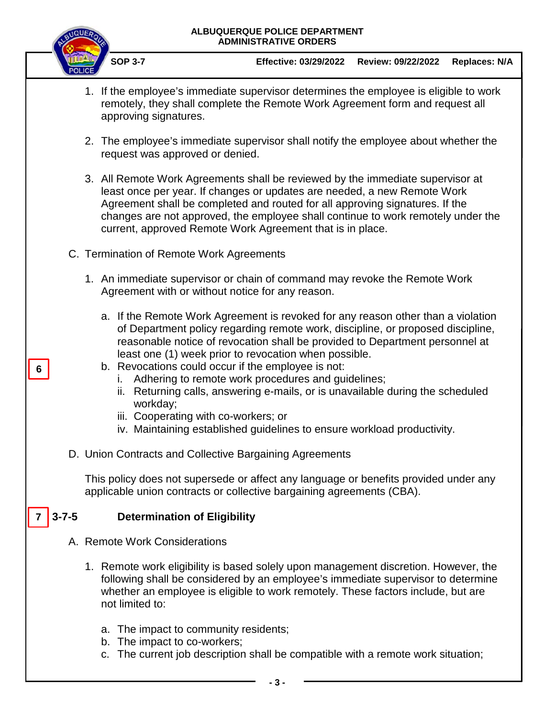

**6**

**SOP 3-7 Effective: 03/29/2022 Review: 09/22/2022 Replaces: N/A**

- 1. If the employee's immediate supervisor determines the employee is eligible to work remotely, they shall complete the Remote Work Agreement form and request all approving signatures.
- 2. The employee's immediate supervisor shall notify the employee about whether the request was approved or denied.
- 3. All Remote Work Agreements shall be reviewed by the immediate supervisor at least once per year. If changes or updates are needed, a new Remote Work Agreement shall be completed and routed for all approving signatures. If the changes are not approved, the employee shall continue to work remotely under the current, approved Remote Work Agreement that is in place.
- C. Termination of Remote Work Agreements
	- 1. An immediate supervisor or chain of command may revoke the Remote Work Agreement with or without notice for any reason.
		- a. If the Remote Work Agreement is revoked for any reason other than a violation of Department policy regarding remote work, discipline, or proposed discipline, reasonable notice of revocation shall be provided to Department personnel at least one (1) week prior to revocation when possible.
		- b. Revocations could occur if the employee is not:
			- i. Adhering to remote work procedures and guidelines;
			- ii. Returning calls, answering e-mails, or is unavailable during the scheduled workday;
			- iii. Cooperating with co-workers; or
			- iv. Maintaining established guidelines to ensure workload productivity.
- D. Union Contracts and Collective Bargaining Agreements

This policy does not supersede or affect any language or benefits provided under any applicable union contracts or collective bargaining agreements (CBA).

#### **3-7-5 Determination of Eligibility 7**

- A. Remote Work Considerations
	- 1. Remote work eligibility is based solely upon management discretion. However, the following shall be considered by an employee's immediate supervisor to determine whether an employee is eligible to work remotely. These factors include, but are not limited to:
		- a. The impact to community residents;
		- b. The impact to co-workers;
		- c. The current job description shall be compatible with a remote work situation;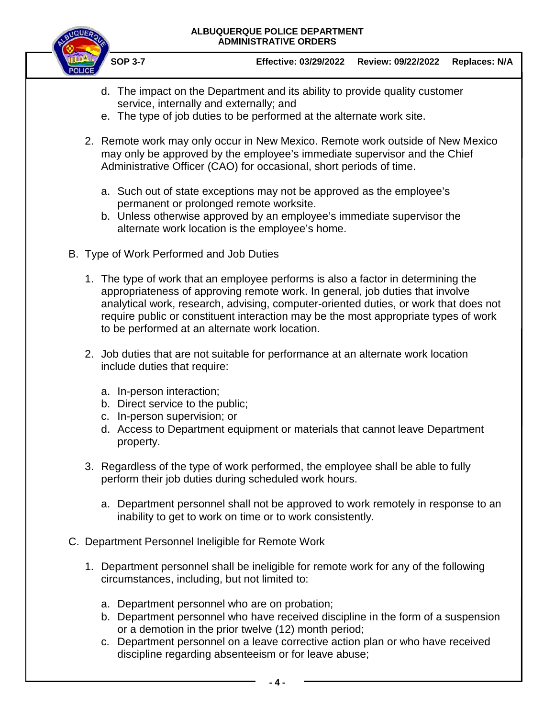

**SOP 3-7 Effective: 03/29/2022 Review: 09/22/2022 Replaces: N/A**

- d. The impact on the Department and its ability to provide quality customer service, internally and externally; and
- e. The type of job duties to be performed at the alternate work site.
- 2. Remote work may only occur in New Mexico. Remote work outside of New Mexico may only be approved by the employee's immediate supervisor and the Chief Administrative Officer (CAO) for occasional, short periods of time.
	- a. Such out of state exceptions may not be approved as the employee's permanent or prolonged remote worksite.
	- b. Unless otherwise approved by an employee's immediate supervisor the alternate work location is the employee's home.
- B. Type of Work Performed and Job Duties
	- 1. The type of work that an employee performs is also a factor in determining the appropriateness of approving remote work. In general, job duties that involve analytical work, research, advising, computer-oriented duties, or work that does not require public or constituent interaction may be the most appropriate types of work to be performed at an alternate work location.
	- 2. Job duties that are not suitable for performance at an alternate work location include duties that require:
		- a. In-person interaction;
		- b. Direct service to the public;
		- c. In-person supervision; or
		- d. Access to Department equipment or materials that cannot leave Department property.
	- 3. Regardless of the type of work performed, the employee shall be able to fully perform their job duties during scheduled work hours.
		- a. Department personnel shall not be approved to work remotely in response to an inability to get to work on time or to work consistently.
- C. Department Personnel Ineligible for Remote Work
	- 1. Department personnel shall be ineligible for remote work for any of the following circumstances, including, but not limited to:
		- a. Department personnel who are on probation;
		- b. Department personnel who have received discipline in the form of a suspension or a demotion in the prior twelve (12) month period;
		- c. Department personnel on a leave corrective action plan or who have received discipline regarding absenteeism or for leave abuse;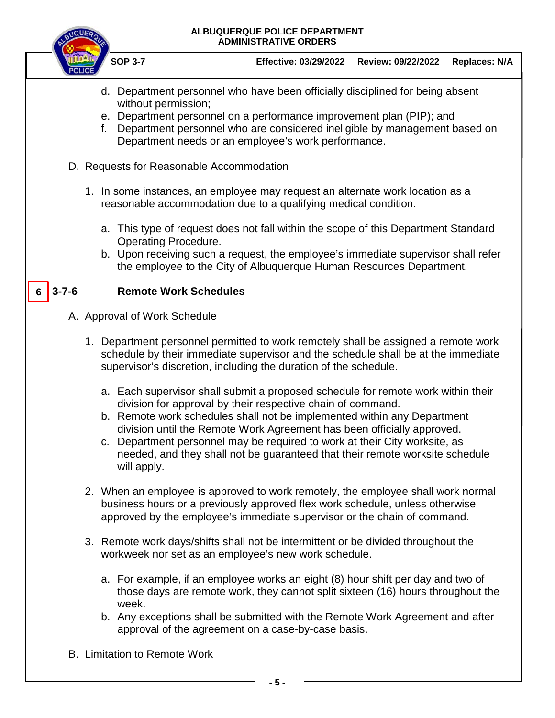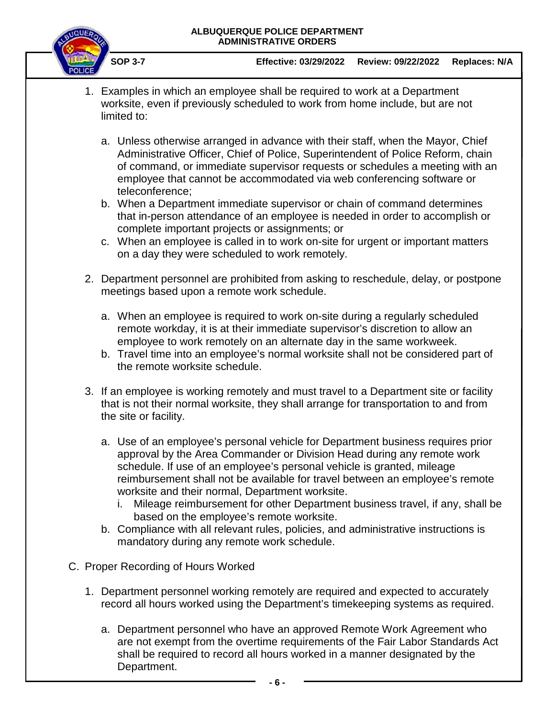

**SOP 3-7 Effective: 03/29/2022 Review: 09/22/2022 Replaces: N/A**

- 1. Examples in which an employee shall be required to work at a Department worksite, even if previously scheduled to work from home include, but are not limited to:
	- a. Unless otherwise arranged in advance with their staff, when the Mayor, Chief Administrative Officer, Chief of Police, Superintendent of Police Reform, chain of command, or immediate supervisor requests or schedules a meeting with an employee that cannot be accommodated via web conferencing software or teleconference;
	- b. When a Department immediate supervisor or chain of command determines that in-person attendance of an employee is needed in order to accomplish or complete important projects or assignments; or
	- c. When an employee is called in to work on-site for urgent or important matters on a day they were scheduled to work remotely.
- 2. Department personnel are prohibited from asking to reschedule, delay, or postpone meetings based upon a remote work schedule.
	- a. When an employee is required to work on-site during a regularly scheduled remote workday, it is at their immediate supervisor's discretion to allow an employee to work remotely on an alternate day in the same workweek.
	- b. Travel time into an employee's normal worksite shall not be considered part of the remote worksite schedule.
- 3. If an employee is working remotely and must travel to a Department site or facility that is not their normal worksite, they shall arrange for transportation to and from the site or facility.
	- a. Use of an employee's personal vehicle for Department business requires prior approval by the Area Commander or Division Head during any remote work schedule. If use of an employee's personal vehicle is granted, mileage reimbursement shall not be available for travel between an employee's remote worksite and their normal, Department worksite.
		- i. Mileage reimbursement for other Department business travel, if any, shall be based on the employee's remote worksite.
	- b. Compliance with all relevant rules, policies, and administrative instructions is mandatory during any remote work schedule.
- C. Proper Recording of Hours Worked
	- 1. Department personnel working remotely are required and expected to accurately record all hours worked using the Department's timekeeping systems as required.
		- a. Department personnel who have an approved Remote Work Agreement who are not exempt from the overtime requirements of the Fair Labor Standards Act shall be required to record all hours worked in a manner designated by the Department.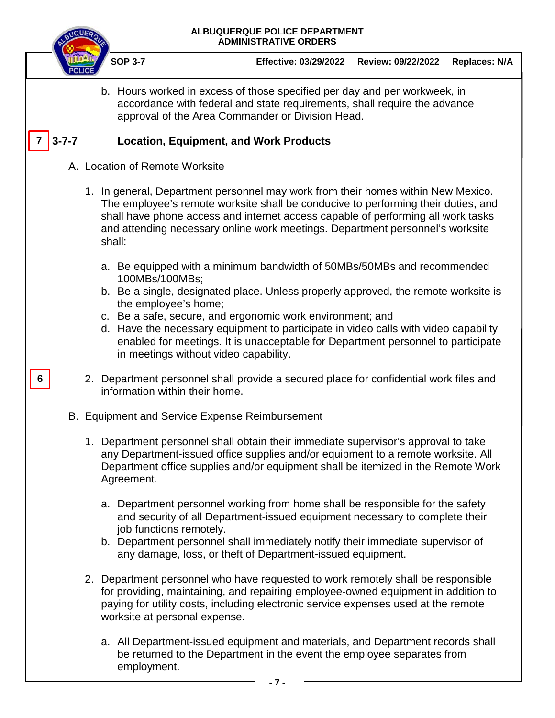

**6**

**SOP 3-7 Effective: 03/29/2022 Review: 09/22/2022 Replaces: N/A**

b. Hours worked in excess of those specified per day and per workweek, in accordance with federal and state requirements, shall require the advance approval of the Area Commander or Division Head.

#### **3-7-7 Location, Equipment, and Work Products**   $7 \mid 3 - 7 - 7$

- A. Location of Remote Worksite
	- 1. In general, Department personnel may work from their homes within New Mexico. The employee's remote worksite shall be conducive to performing their duties, and shall have phone access and internet access capable of performing all work tasks and attending necessary online work meetings. Department personnel's worksite shall:
		- a. Be equipped with a minimum bandwidth of 50MBs/50MBs and recommended 100MBs/100MBs;
		- b. Be a single, designated place. Unless properly approved, the remote worksite is the employee's home;
		- c. Be a safe, secure, and ergonomic work environment; and
		- d. Have the necessary equipment to participate in video calls with video capability enabled for meetings. It is unacceptable for Department personnel to participate in meetings without video capability.
	- 2. Department personnel shall provide a secured place for confidential work files and information within their home.
- B. Equipment and Service Expense Reimbursement
	- 1. Department personnel shall obtain their immediate supervisor's approval to take any Department-issued office supplies and/or equipment to a remote worksite. All Department office supplies and/or equipment shall be itemized in the Remote Work Agreement.
		- a. Department personnel working from home shall be responsible for the safety and security of all Department-issued equipment necessary to complete their job functions remotely.
		- b. Department personnel shall immediately notify their immediate supervisor of any damage, loss, or theft of Department-issued equipment.
	- 2. Department personnel who have requested to work remotely shall be responsible for providing, maintaining, and repairing employee-owned equipment in addition to paying for utility costs, including electronic service expenses used at the remote worksite at personal expense.
		- a. All Department-issued equipment and materials, and Department records shall be returned to the Department in the event the employee separates from employment.